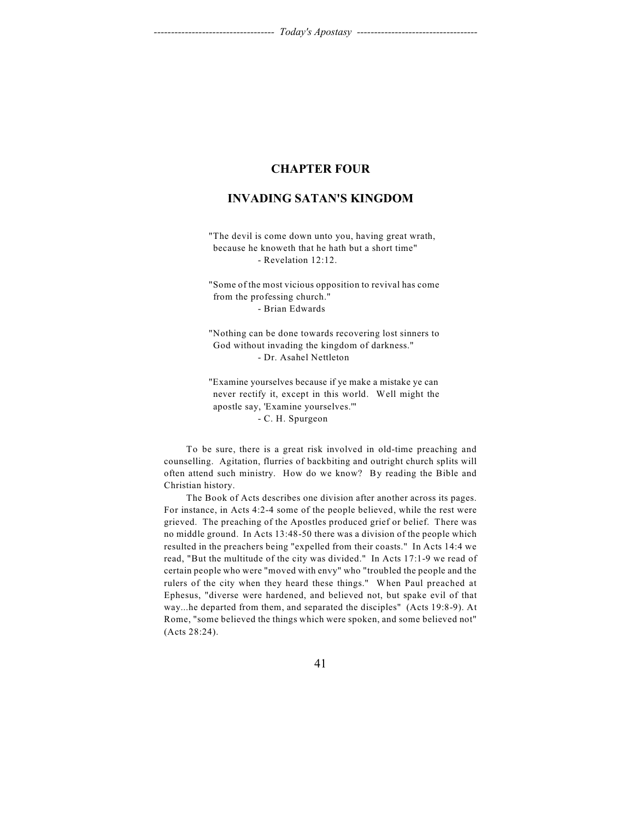# **CHAPTER FOUR**

# **INVADING SATAN'S KINGDOM**

"The devil is come down unto you, having great wrath, because he knoweth that he hath but a short time" - Revelation 12:12.

"Some of the most vicious opposition to revival has come from the professing church." - Brian Edwards

"Nothing can be done towards recovering lost sinners to God without invading the kingdom of darkness." - Dr. Asahel Nettleton

"Examine yourselves because if ye make a mistake ye can never rectify it, except in this world. Well might the apostle say, 'Examine yourselves.'" - C. H. Spurgeon

To be sure, there is a great risk involved in old-time preaching and counselling. Agitation, flurries of backbiting and outright church splits will often attend such ministry. How do we know? By reading the Bible and Christian history.

The Book of Acts describes one division after another across its pages. For instance, in Acts 4:2-4 some of the people believed, while the rest were grieved. The preaching of the Apostles produced grief or belief. There was no middle ground. In Acts 13:48-50 there was a division of the people which resulted in the preachers being "expelled from their coasts." In Acts 14:4 we read, "But the multitude of the city was divided." In Acts 17:1-9 we read of certain people who were "moved with envy" who "troubled the people and the rulers of the city when they heard these things." When Paul preached at Ephesus, "diverse were hardened, and believed not, but spake evil of that way...he departed from them, and separated the disciples" (Acts 19:8-9). At Rome, "some believed the things which were spoken, and some believed not" (Acts 28:24).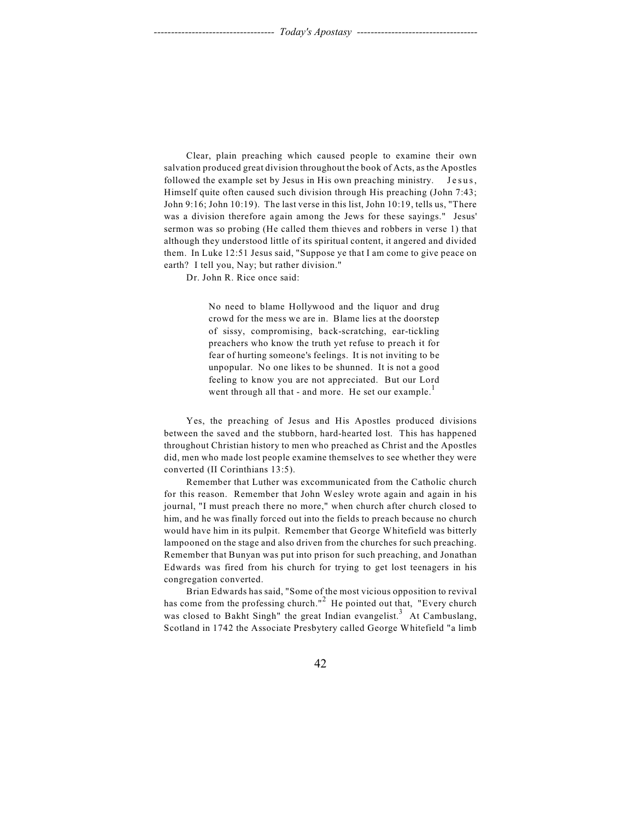Clear, plain preaching which caused people to examine their own salvation produced great division throughout the book of Acts, as the Apostles followed the example set by Jesus in His own preaching ministry. J e sus, Himself quite often caused such division through His preaching (John 7:43; John 9:16; John 10:19). The last verse in this list, John 10:19, tells us, "There was a division therefore again among the Jews for these sayings." Jesus' sermon was so probing (He called them thieves and robbers in verse 1) that although they understood little of its spiritual content, it angered and divided them. In Luke 12:51 Jesus said, "Suppose ye that I am come to give peace on earth? I tell you, Nay; but rather division."

Dr. John R. Rice once said:

No need to blame Hollywood and the liquor and drug crowd for the mess we are in. Blame lies at the doorstep of sissy, compromising, back-scratching, ear-tickling preachers who know the truth yet refuse to preach it for fear of hurting someone's feelings. It is not inviting to be unpopular. No one likes to be shunned. It is not a good feeling to know you are not appreciated. But our Lord went through all that - and more. He set our example.<sup>1</sup>

Yes, the preaching of Jesus and His Apostles produced divisions between the saved and the stubborn, hard-hearted lost. This has happened throughout Christian history to men who preached as Christ and the Apostles did, men who made lost people examine themselves to see whether they were converted (II Corinthians 13:5).

Remember that Luther was excommunicated from the Catholic church for this reason. Remember that John Wesley wrote again and again in his journal, "I must preach there no more," when church after church closed to him, and he was finally forced out into the fields to preach because no church would have him in its pulpit. Remember that George Whitefield was bitterly lampooned on the stage and also driven from the churches for such preaching. Remember that Bunyan was put into prison for such preaching, and Jonathan Edwards was fired from his church for trying to get lost teenagers in his congregation converted.

Brian Edwards has said, "Some of the most vicious opposition to revival has come from the professing church."<sup>2</sup> He pointed out that, "Every church was closed to Bakht Singh" the great Indian evangelist.<sup>3</sup> At Cambuslang, Scotland in 1742 the Associate Presbytery called George Whitefield "a limb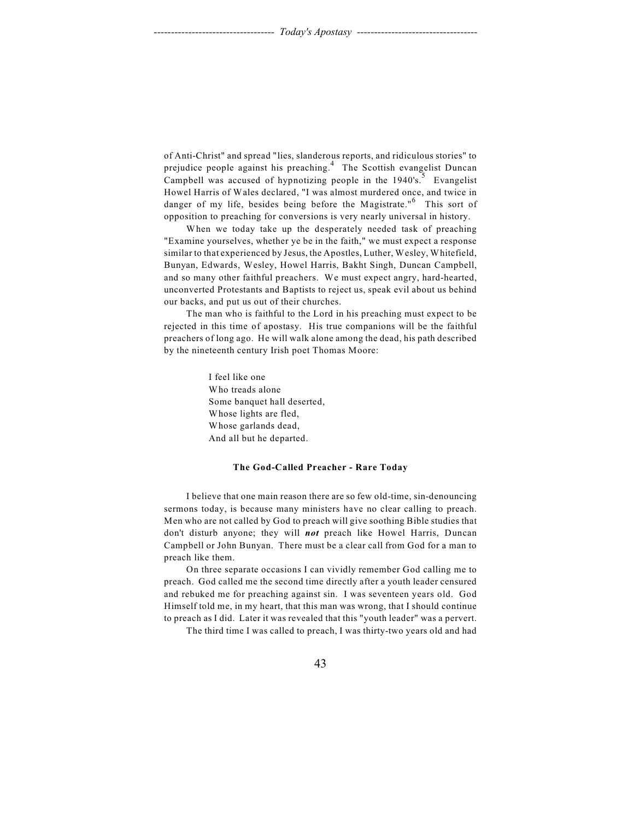of Anti-Christ" and spread "lies, slanderous reports, and ridiculous stories" to prejudice people against his preaching.<sup>4</sup> The Scottish evangelist Duncan Campbell was accused of hypnotizing people in the 1940's.<sup>5</sup> Evangelist Howel Harris of Wales declared, "I was almost murdered once, and twice in danger of my life, besides being before the Magistrate."<sup>6</sup> This sort of opposition to preaching for conversions is very nearly universal in history.

When we today take up the desperately needed task of preaching "Examine yourselves, whether ye be in the faith," we must expect a response similar to that experienced by Jesus, the Apostles, Luther, Wesley, Whitefield, Bunyan, Edwards, Wesley, Howel Harris, Bakht Singh, Duncan Campbell, and so many other faithful preachers. We must expect angry, hard-hearted, unconverted Protestants and Baptists to reject us, speak evil about us behind our backs, and put us out of their churches.

The man who is faithful to the Lord in his preaching must expect to be rejected in this time of apostasy. His true companions will be the faithful preachers of long ago. He will walk alone among the dead, his path described by the nineteenth century Irish poet Thomas Moore:

> I feel like one Who treads alone Some banquet hall deserted, Whose lights are fled, Whose garlands dead, And all but he departed.

## **The God-Called Preacher - Rare Today**

I believe that one main reason there are so few old-time, sin-denouncing sermons today, is because many ministers have no clear calling to preach. Men who are not called by God to preach will give soothing Bible studies that don't disturb anyone; they will *not* preach like Howel Harris, Duncan Campbell or John Bunyan. There must be a clear call from God for a man to preach like them.

On three separate occasions I can vividly remember God calling me to preach. God called me the second time directly after a youth leader censured and rebuked me for preaching against sin. I was seventeen years old. God Himself told me, in my heart, that this man was wrong, that I should continue to preach as I did. Later it was revealed that this "youth leader" was a pervert.

The third time I was called to preach, I was thirty-two years old and had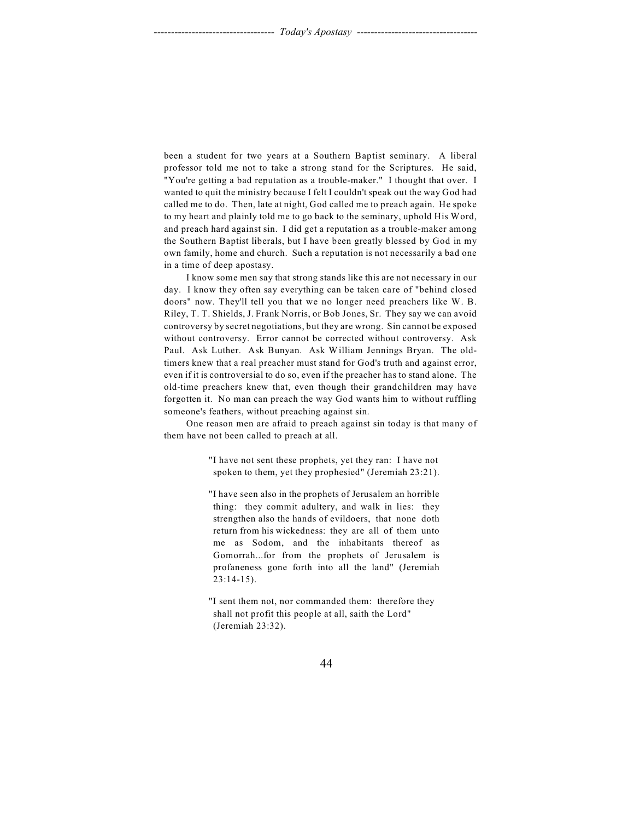been a student for two years at a Southern Baptist seminary. A liberal professor told me not to take a strong stand for the Scriptures. He said, "You're getting a bad reputation as a trouble-maker." I thought that over. I wanted to quit the ministry because I felt I couldn't speak out the way God had called me to do. Then, late at night, God called me to preach again. He spoke to my heart and plainly told me to go back to the seminary, uphold His Word, and preach hard against sin. I did get a reputation as a trouble-maker among the Southern Baptist liberals, but I have been greatly blessed by God in my own family, home and church. Such a reputation is not necessarily a bad one in a time of deep apostasy.

I know some men say that strong stands like this are not necessary in our day. I know they often say everything can be taken care of "behind closed doors" now. They'll tell you that we no longer need preachers like W. B. Riley, T. T. Shields, J. Frank Norris, or Bob Jones, Sr. They say we can avoid controversy by secret negotiations, but they are wrong. Sin cannot be exposed without controversy. Error cannot be corrected without controversy. Ask Paul. Ask Luther. Ask Bunyan. Ask William Jennings Bryan. The oldtimers knew that a real preacher must stand for God's truth and against error, even if it is controversial to do so, even if the preacher has to stand alone. The old-time preachers knew that, even though their grandchildren may have forgotten it. No man can preach the way God wants him to without ruffling someone's feathers, without preaching against sin.

One reason men are afraid to preach against sin today is that many of them have not been called to preach at all.

> "I have not sent these prophets, yet they ran: I have not spoken to them, yet they prophesied" (Jeremiah 23:21).

> "I have seen also in the prophets of Jerusalem an horrible thing: they commit adultery, and walk in lies: they strengthen also the hands of evildoers, that none doth return from his wickedness: they are all of them unto me as Sodom, and the inhabitants thereof as Gomorrah...for from the prophets of Jerusalem is profaneness gone forth into all the land" (Jeremiah 23:14-15).

"I sent them not, nor commanded them: therefore they shall not profit this people at all, saith the Lord" (Jeremiah 23:32).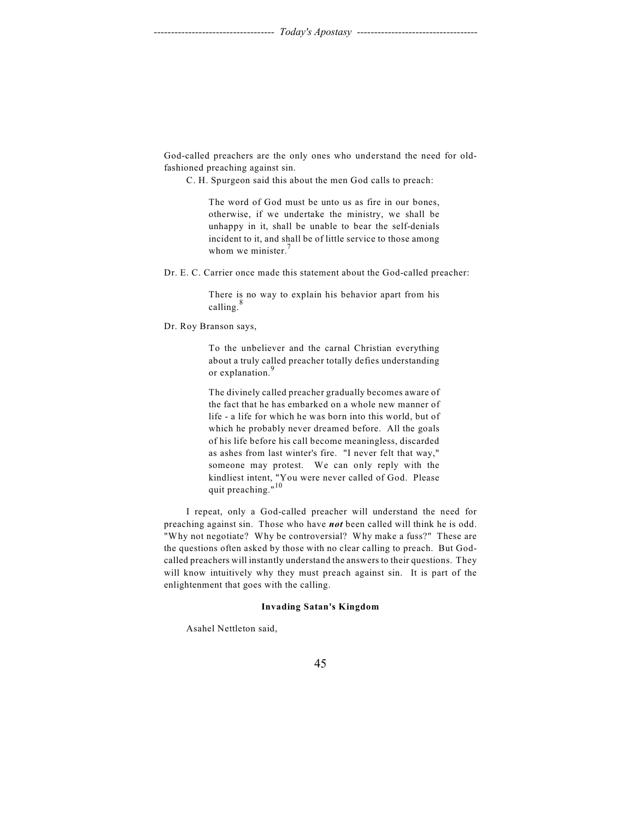God-called preachers are the only ones who understand the need for oldfashioned preaching against sin.

C. H. Spurgeon said this about the men God calls to preach:

The word of God must be unto us as fire in our bones, otherwise, if we undertake the ministry, we shall be unhappy in it, shall be unable to bear the self-denials incident to it, and shall be of little service to those among whom we minister.<sup>7</sup>

Dr. E. C. Carrier once made this statement about the God-called preacher:

There is no way to explain his behavior apart from his calling. $8$ 

Dr. Roy Branson says,

To the unbeliever and the carnal Christian everything about a truly called preacher totally defies understanding or explanation.<sup>9</sup>

The divinely called preacher gradually becomes aware of the fact that he has embarked on a whole new manner of life - a life for which he was born into this world, but of which he probably never dreamed before. All the goals of his life before his call become meaningless, discarded as ashes from last winter's fire. "I never felt that way," someone may protest. We can only reply with the kindliest intent, "You were never called of God. Please quit preaching."<sup>10</sup>

I repeat, only a God-called preacher will understand the need for preaching against sin. Those who have *not* been called will think he is odd. "Why not negotiate? Why be controversial? Why make a fuss?" These are the questions often asked by those with no clear calling to preach. But Godcalled preachers will instantly understand the answers to their questions. They will know intuitively why they must preach against sin. It is part of the enlightenment that goes with the calling.

## **Invading Satan's Kingdom**

Asahel Nettleton said,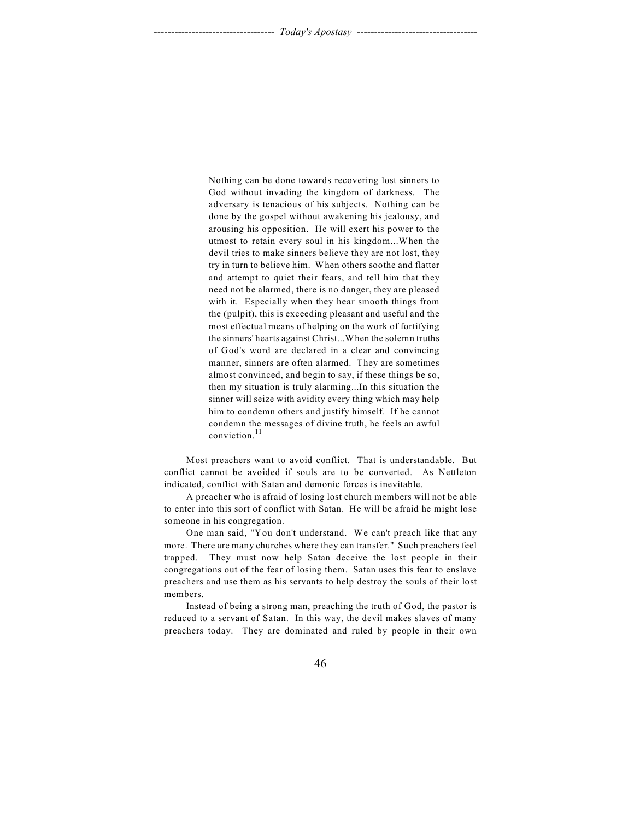Nothing can be done towards recovering lost sinners to God without invading the kingdom of darkness. The adversary is tenacious of his subjects. Nothing can be done by the gospel without awakening his jealousy, and arousing his opposition. He will exert his power to the utmost to retain every soul in his kingdom...When the devil tries to make sinners believe they are not lost, they try in turn to believe him. When others soothe and flatter and attempt to quiet their fears, and tell him that they need not be alarmed, there is no danger, they are pleased with it. Especially when they hear smooth things from the (pulpit), this is exceeding pleasant and useful and the most effectual means of helping on the work of fortifying the sinners' hearts against Christ...When the solemn truths of God's word are declared in a clear and convincing manner, sinners are often alarmed. They are sometimes almost convinced, and begin to say, if these things be so, then my situation is truly alarming...In this situation the sinner will seize with avidity every thing which may help him to condemn others and justify himself. If he cannot condemn the messages of divine truth, he feels an awful conviction.<sup>11</sup>

Most preachers want to avoid conflict. That is understandable. But conflict cannot be avoided if souls are to be converted. As Nettleton indicated, conflict with Satan and demonic forces is inevitable.

A preacher who is afraid of losing lost church members will not be able to enter into this sort of conflict with Satan. He will be afraid he might lose someone in his congregation.

One man said, "You don't understand. We can't preach like that any more. There are many churches where they can transfer." Such preachers feel trapped. They must now help Satan deceive the lost people in their congregations out of the fear of losing them. Satan uses this fear to enslave preachers and use them as his servants to help destroy the souls of their lost members.

Instead of being a strong man, preaching the truth of God, the pastor is reduced to a servant of Satan. In this way, the devil makes slaves of many preachers today. They are dominated and ruled by people in their own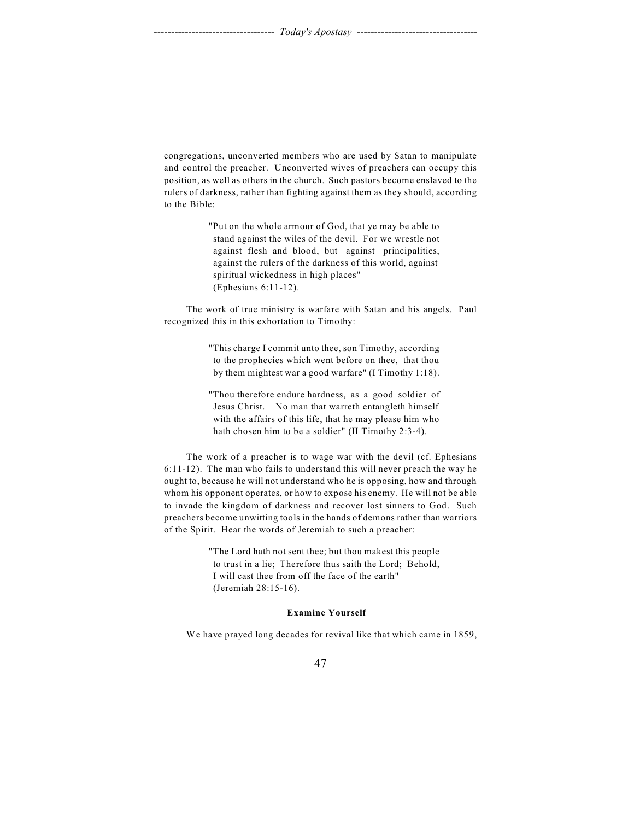congregations, unconverted members who are used by Satan to manipulate and control the preacher. Unconverted wives of preachers can occupy this position, as well as others in the church. Such pastors become enslaved to the rulers of darkness, rather than fighting against them as they should, according to the Bible:

> "Put on the whole armour of God, that ye may be able to stand against the wiles of the devil. For we wrestle not against flesh and blood, but against principalities, against the rulers of the darkness of this world, against spiritual wickedness in high places" (Ephesians 6:11-12).

The work of true ministry is warfare with Satan and his angels. Paul recognized this in this exhortation to Timothy:

> "This charge I commit unto thee, son Timothy, according to the prophecies which went before on thee, that thou by them mightest war a good warfare" (I Timothy 1:18).

> "Thou therefore endure hardness, as a good soldier of Jesus Christ. No man that warreth entangleth himself with the affairs of this life, that he may please him who hath chosen him to be a soldier" (II Timothy 2:3-4).

The work of a preacher is to wage war with the devil (cf. Ephesians 6:11-12). The man who fails to understand this will never preach the way he ought to, because he will not understand who he is opposing, how and through whom his opponent operates, or how to expose his enemy. He will not be able to invade the kingdom of darkness and recover lost sinners to God. Such preachers become unwitting tools in the hands of demons rather than warriors of the Spirit. Hear the words of Jeremiah to such a preacher:

> "The Lord hath not sent thee; but thou makest this people to trust in a lie; Therefore thus saith the Lord; Behold, I will cast thee from off the face of the earth" (Jeremiah 28:15-16).

## **Examine Yourself**

We have prayed long decades for revival like that which came in 1859,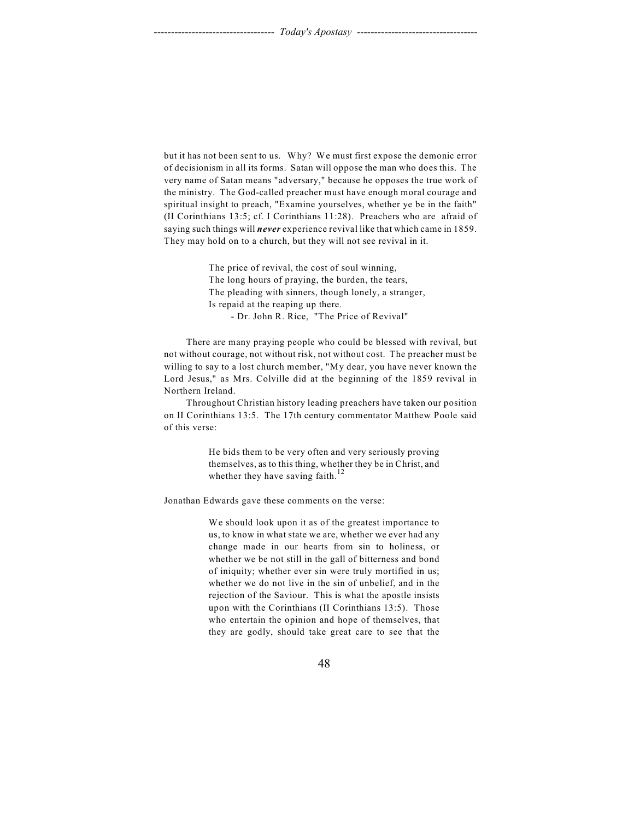but it has not been sent to us. Why? We must first expose the demonic error of decisionism in all its forms. Satan will oppose the man who does this. The very name of Satan means "adversary," because he opposes the true work of the ministry. The God-called preacher must have enough moral courage and spiritual insight to preach, "Examine yourselves, whether ye be in the faith" (II Corinthians 13:5; cf. I Corinthians 11:28). Preachers who are afraid of saying such things will *never* experience revival like that which came in 1859. They may hold on to a church, but they will not see revival in it.

> The price of revival, the cost of soul winning, The long hours of praying, the burden, the tears, The pleading with sinners, though lonely, a stranger, Is repaid at the reaping up there. - Dr. John R. Rice, "The Price of Revival"

There are many praying people who could be blessed with revival, but not without courage, not without risk, not without cost. The preacher must be willing to say to a lost church member, "My dear, you have never known the Lord Jesus," as Mrs. Colville did at the beginning of the 1859 revival in Northern Ireland.

Throughout Christian history leading preachers have taken our position on II Corinthians 13:5. The 17th century commentator Matthew Poole said of this verse:

> He bids them to be very often and very seriously proving themselves, as to this thing, whether they be in Christ, and whether they have saving faith.<sup>12</sup>

Jonathan Edwards gave these comments on the verse:

We should look upon it as of the greatest importance to us, to know in what state we are, whether we ever had any change made in our hearts from sin to holiness, or whether we be not still in the gall of bitterness and bond of iniquity; whether ever sin were truly mortified in us; whether we do not live in the sin of unbelief, and in the rejection of the Saviour. This is what the apostle insists upon with the Corinthians (II Corinthians 13:5). Those who entertain the opinion and hope of themselves, that they are godly, should take great care to see that the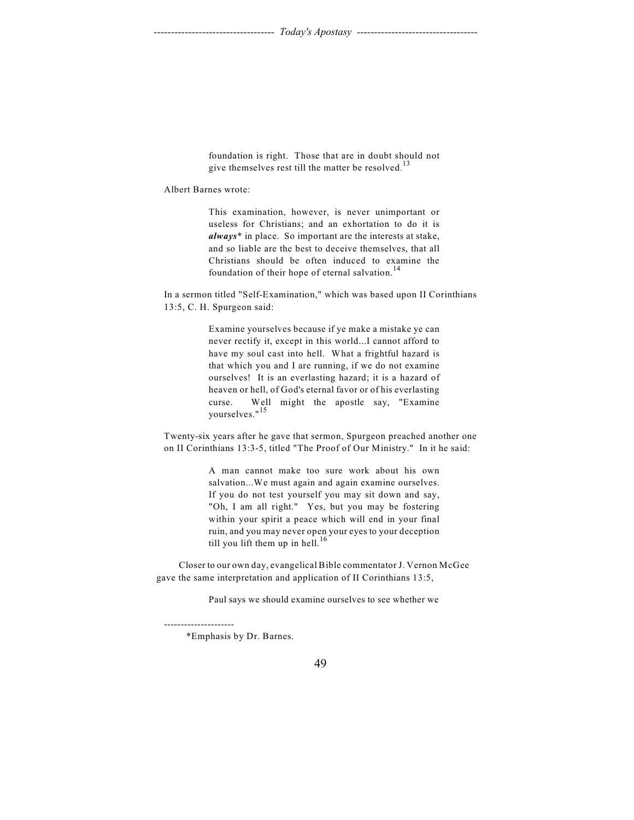foundation is right. Those that are in doubt should not give themselves rest till the matter be resolved.<sup>13</sup>

Albert Barnes wrote:

This examination, however, is never unimportant or useless for Christians; and an exhortation to do it is *always*\* in place. So important are the interests at stake, and so liable are the best to deceive themselves, that all Christians should be often induced to examine the foundation of their hope of eternal salvation.<sup>14</sup>

In a sermon titled "Self-Examination," which was based upon II Corinthians 13:5, C. H. Spurgeon said:

> Examine yourselves because if ye make a mistake ye can never rectify it, except in this world...I cannot afford to have my soul cast into hell. What a frightful hazard is that which you and I are running, if we do not examine ourselves! It is an everlasting hazard; it is a hazard of heaven or hell, of God's eternal favor or of his everlasting curse. Well might the apostle say, "Examine yourselves."<sup>15</sup>

Twenty-six years after he gave that sermon, Spurgeon preached another one on II Corinthians 13:3-5, titled "The Proof of Our Ministry." In it he said:

> A man cannot make too sure work about his own salvation...We must again and again examine ourselves. If you do not test yourself you may sit down and say, "Oh, I am all right." Yes, but you may be fostering within your spirit a peace which will end in your final ruin, and you may never open your eyes to your deception till you lift them up in hell. $^{16}$

Closer to our own day, evangelical Bible commentator J. Vernon McGee gave the same interpretation and application of II Corinthians 13:5,

Paul says we should examine ourselves to see whether we

---------------------

<sup>\*</sup>Emphasis by Dr. Barnes.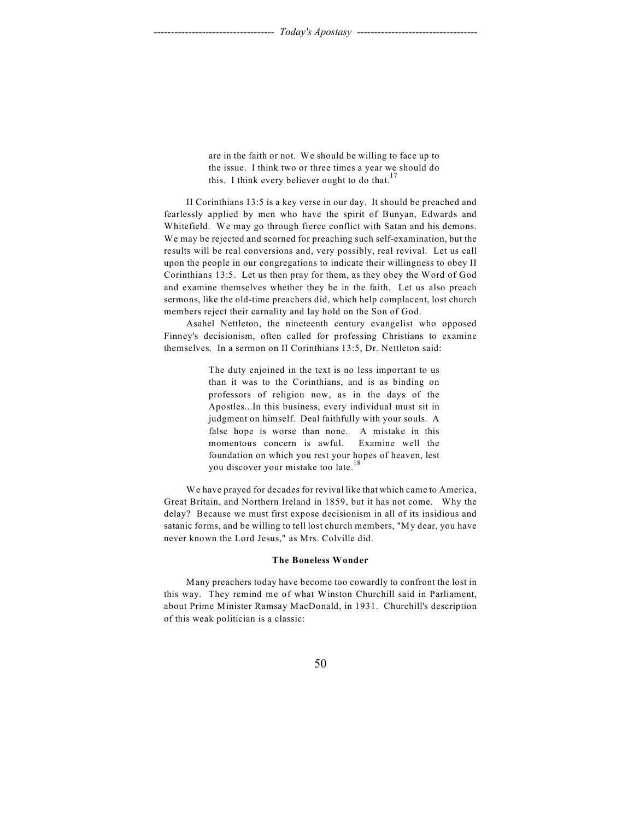are in the faith or not. We should be willing to face up to the issue. I think two or three times a year we should do this. I think every believer ought to do that.<sup>17</sup>

II Corinthians 13:5 is a key verse in our day. It should be preached and fearlessly applied by men who have the spirit of Bunyan, Edwards and Whitefield. We may go through fierce conflict with Satan and his demons. We may be rejected and scorned for preaching such self-examination, but the results will be real conversions and, very possibly, real revival. Let us call upon the people in our congregations to indicate their willingness to obey II Corinthians 13:5. Let us then pray for them, as they obey the Word of God and examine themselves whether they be in the faith. Let us also preach sermons, like the old-time preachers did, which help complacent, lost church members reject their carnality and lay hold on the Son of God.

Asahel Nettleton, the nineteenth century evangelist who opposed Finney's decisionism, often called for professing Christians to examine themselves. In a sermon on II Corinthians 13:5, Dr. Nettleton said:

> The duty enjoined in the text is no less important to us than it was to the Corinthians, and is as binding on professors of religion now, as in the days of the Apostles...In this business, every individual must sit in judgment on himself. Deal faithfully with your souls. A false hope is worse than none. A mistake in this momentous concern is awful. Examine well the foundation on which you rest your hopes of heaven, lest you discover your mistake too late.<sup>18</sup>

We have prayed for decades for revival like that which came to America, Great Britain, and Northern Ireland in 1859, but it has not come. Why the delay? Because we must first expose decisionism in all of its insidious and satanic forms, and be willing to tell lost church members, "My dear, you have never known the Lord Jesus," as Mrs. Colville did.

### **The Boneless Wonder**

Many preachers today have become too cowardly to confront the lost in this way. They remind me of what Winston Churchill said in Parliament, about Prime Minister Ramsay MacDonald, in 1931. Churchill's description of this weak politician is a classic: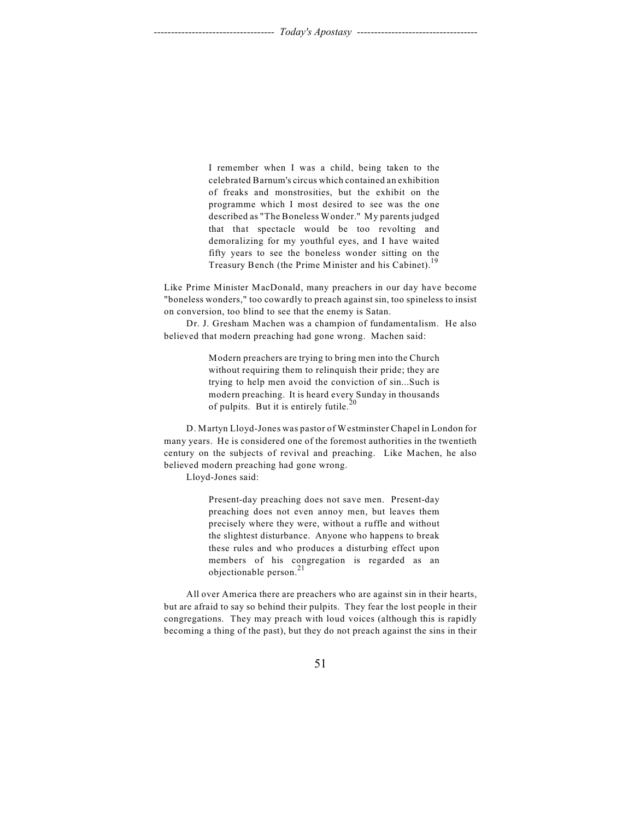I remember when I was a child, being taken to the celebrated Barnum's circus which contained an exhibition of freaks and monstrosities, but the exhibit on the programme which I most desired to see was the one described as "The Boneless Wonder." My parents judged that that spectacle would be too revolting and demoralizing for my youthful eyes, and I have waited fifty years to see the boneless wonder sitting on the Treasury Bench (the Prime Minister and his Cabinet).<sup>19</sup>

Like Prime Minister MacDonald, many preachers in our day have become "boneless wonders," too cowardly to preach against sin, too spineless to insist on conversion, too blind to see that the enemy is Satan.

Dr. J. Gresham Machen was a champion of fundamentalism. He also believed that modern preaching had gone wrong. Machen said:

> Modern preachers are trying to bring men into the Church without requiring them to relinquish their pride; they are trying to help men avoid the conviction of sin...Such is modern preaching. It is heard every Sunday in thousands of pulpits. But it is entirely futile.<sup>20</sup>

D. Martyn Lloyd-Jones was pastor of Westminster Chapel in London for many years. He is considered one of the foremost authorities in the twentieth century on the subjects of revival and preaching. Like Machen, he also believed modern preaching had gone wrong.

Lloyd-Jones said:

Present-day preaching does not save men. Present-day preaching does not even annoy men, but leaves them precisely where they were, without a ruffle and without the slightest disturbance. Anyone who happens to break these rules and who produces a disturbing effect upon members of his congregation is regarded as an objectionable person.<sup>21</sup>

All over America there are preachers who are against sin in their hearts, but are afraid to say so behind their pulpits. They fear the lost people in their congregations. They may preach with loud voices (although this is rapidly becoming a thing of the past), but they do not preach against the sins in their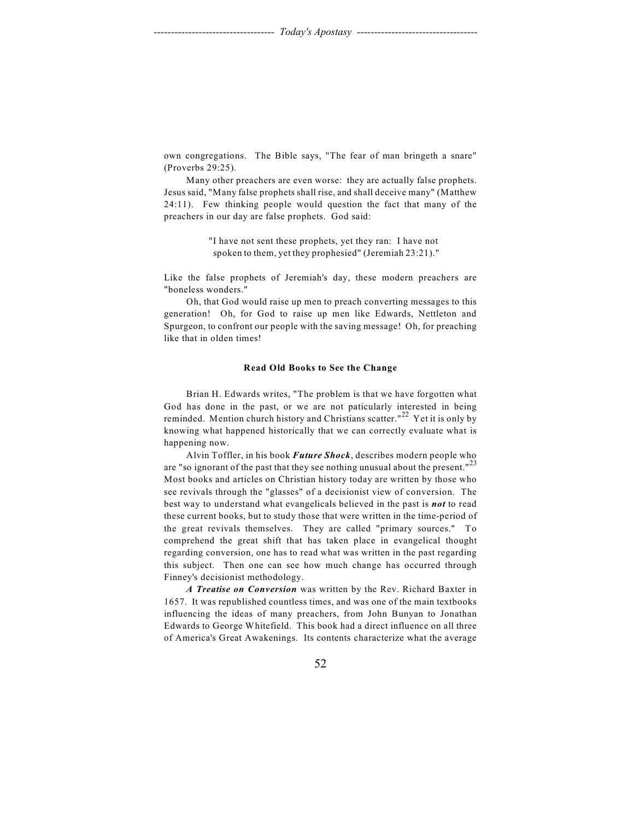own congregations. The Bible says, "The fear of man bringeth a snare" (Proverbs 29:25).

Many other preachers are even worse: they are actually false prophets. Jesus said, "Many false prophets shall rise, and shall deceive many" (Matthew 24:11). Few thinking people would question the fact that many of the preachers in our day are false prophets. God said:

> "I have not sent these prophets, yet they ran: I have not spoken to them, yet they prophesied" (Jeremiah 23:21)."

Like the false prophets of Jeremiah's day, these modern preachers are "boneless wonders."

Oh, that God would raise up men to preach converting messages to this generation! Oh, for God to raise up men like Edwards, Nettleton and Spurgeon, to confront our people with the saving message! Oh, for preaching like that in olden times!

### **Read Old Books to See the Change**

Brian H. Edwards writes, "The problem is that we have forgotten what God has done in the past, or we are not paticularly interested in being reminded. Mention church history and Christians scatter."<sup>22</sup> Yet it is only by knowing what happened historically that we can correctly evaluate what is happening now.

Alvin Toffler, in his book *Future Shock*, describes modern people who are "so ignorant of the past that they see nothing unusual about the present." $23$ Most books and articles on Christian history today are written by those who see revivals through the "glasses" of a decisionist view of conversion. The best way to understand what evangelicals believed in the past is *not* to read these current books, but to study those that were written in the time-period of the great revivals themselves. They are called "primary sources." To comprehend the great shift that has taken place in evangelical thought regarding conversion, one has to read what was written in the past regarding this subject. Then one can see how much change has occurred through Finney's decisionist methodology.

*A Treatise on Conversion* was written by the Rev. Richard Baxter in 1657. It was republished countless times, and was one of the main textbooks influencing the ideas of many preachers, from John Bunyan to Jonathan Edwards to George Whitefield. This book had a direct influence on all three of America's Great Awakenings. Its contents characterize what the average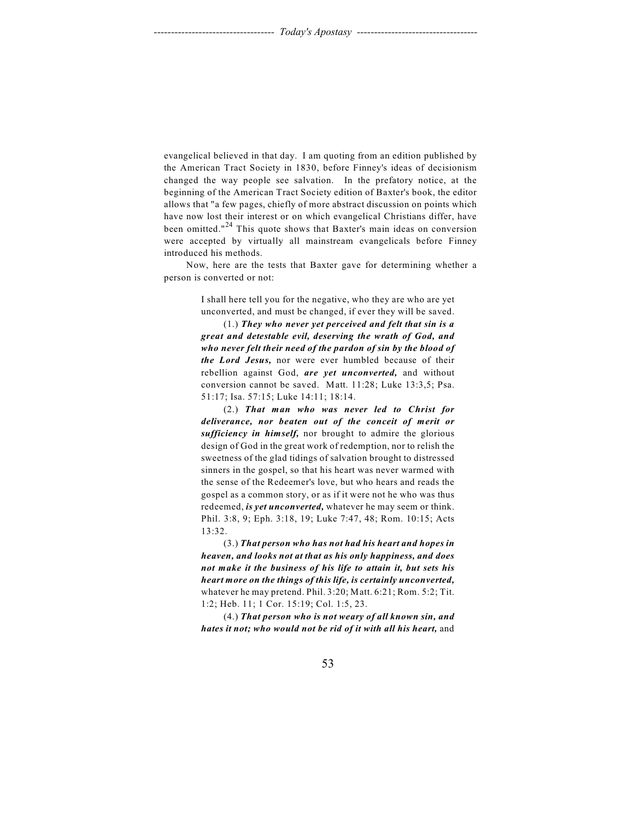evangelical believed in that day. I am quoting from an edition published by the American Tract Society in 1830, before Finney's ideas of decisionism changed the way people see salvation. In the prefatory notice, at the beginning of the American Tract Society edition of Baxter's book, the editor allows that "a few pages, chiefly of more abstract discussion on points which have now lost their interest or on which evangelical Christians differ, have been omitted."<sup>24</sup> This quote shows that Baxter's main ideas on conversion were accepted by virtually all mainstream evangelicals before Finney introduced his methods.

Now, here are the tests that Baxter gave for determining whether a person is converted or not:

> I shall here tell you for the negative, who they are who are yet unconverted, and must be changed, if ever they will be saved.

> (1.) *They who never yet perceived and felt that sin is a great and detestable evil, deserving the wrath of God, and who never felt their need of the pardon of sin by the blood of the Lord Jesus,* nor were ever humbled because of their rebellion against God, *are yet unconverted,* and without conversion cannot be saved. Matt. 11:28; Luke 13:3,5; Psa. 51:17; Isa. 57:15; Luke 14:11; 18:14.

> (2.) *That man who was never led to Christ for deliverance, nor beaten out of the conceit of merit or sufficiency in himself,* nor brought to admire the glorious design of God in the great work of redemption, nor to relish the sweetness of the glad tidings of salvation brought to distressed sinners in the gospel, so that his heart was never warmed with the sense of the Redeemer's love, but who hears and reads the gospel as a common story, or as if it were not he who was thus redeemed, *is yet unconverted,* whatever he may seem or think. Phil. 3:8, 9; Eph. 3:18, 19; Luke 7:47, 48; Rom. 10:15; Acts 13:32.

> (3.) *That person who has not had his heart and hopes in heaven, and looks not at that as his only happiness, and does not make it the business of his life to attain it, but sets his heart more on the things of this life, is certainly unconverted,* whatever he may pretend. Phil. 3:20; Matt. 6:21; Rom. 5:2; Tit. 1:2; Heb. 11; 1 Cor. 15:19; Col. 1:5, 23.

> (4.) *That person who is not weary of all known sin, and hates it not; who would not be rid of it with all his heart,* and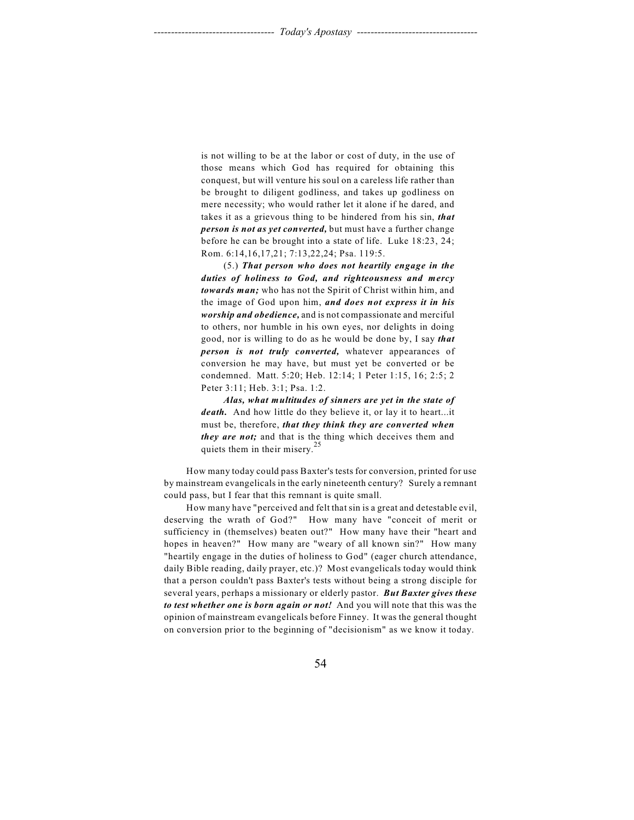is not willing to be at the labor or cost of duty, in the use of those means which God has required for obtaining this conquest, but will venture his soul on a careless life rather than be brought to diligent godliness, and takes up godliness on mere necessity; who would rather let it alone if he dared, and takes it as a grievous thing to be hindered from his sin, *that person is not as yet converted,* but must have a further change before he can be brought into a state of life. Luke 18:23, 24; Rom. 6:14,16,17,21; 7:13,22,24; Psa. 119:5.

(5.) *That person who does not heartily engage in the duties of holiness to God, and righteousness and mercy towards man;* who has not the Spirit of Christ within him, and the image of God upon him, *and does not express it in his worship and obedience,* and is not compassionate and merciful to others, nor humble in his own eyes, nor delights in doing good, nor is willing to do as he would be done by, I say *that person is not truly converted,* whatever appearances of conversion he may have, but must yet be converted or be condemned. Matt. 5:20; Heb. 12:14; 1 Peter 1:15, 16; 2:5; 2 Peter 3:11; Heb. 3:1; Psa. 1:2.

*Alas, what multitudes of sinners are yet in the state of death.* And how little do they believe it, or lay it to heart...it must be, therefore, *that they think they are converted when they are not;* and that is the thing which deceives them and quiets them in their misery.<sup>2</sup>

How many today could pass Baxter's tests for conversion, printed for use by mainstream evangelicals in the early nineteenth century? Surely a remnant could pass, but I fear that this remnant is quite small.

How many have "perceived and felt that sin is a great and detestable evil, deserving the wrath of God?" How many have "conceit of merit or sufficiency in (themselves) beaten out?" How many have their "heart and hopes in heaven?" How many are "weary of all known sin?" How many "heartily engage in the duties of holiness to God" (eager church attendance, daily Bible reading, daily prayer, etc.)? Most evangelicals today would think that a person couldn't pass Baxter's tests without being a strong disciple for several years, perhaps a missionary or elderly pastor. *But Baxter gives these to test whether one is born again or not!* And you will note that this was the opinion of mainstream evangelicals before Finney. It was the general thought on conversion prior to the beginning of "decisionism" as we know it today.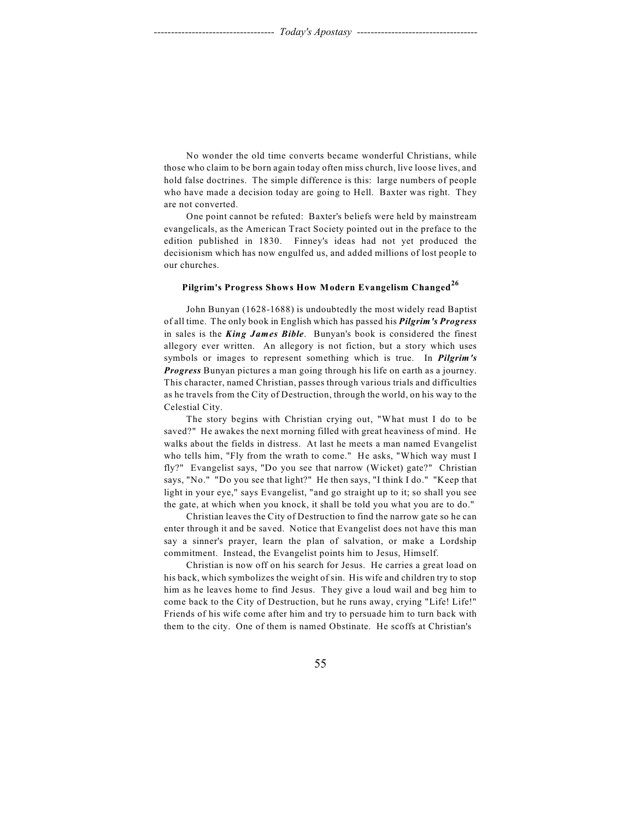No wonder the old time converts became wonderful Christians, while those who claim to be born again today often miss church, live loose lives, and hold false doctrines. The simple difference is this: large numbers of people who have made a decision today are going to Hell. Baxter was right. They are not converted.

One point cannot be refuted: Baxter's beliefs were held by mainstream evangelicals, as the American Tract Society pointed out in the preface to the edition published in 1830. Finney's ideas had not yet produced the decisionism which has now engulfed us, and added millions of lost people to our churches.

## **Pilgrim's Progress Shows How Modern Evangelism Changed<sup>26</sup>**

John Bunyan (1628-1688) is undoubtedly the most widely read Baptist of all time. The only book in English which has passed his *Pilgrim's Progress* in sales is the *King James Bible*. Bunyan's book is considered the finest allegory ever written. An allegory is not fiction, but a story which uses symbols or images to represent something which is true. In *Pilgrim's Progress* Bunyan pictures a man going through his life on earth as a journey. This character, named Christian, passes through various trials and difficulties as he travels from the City of Destruction, through the world, on his way to the Celestial City.

The story begins with Christian crying out, "What must I do to be saved?" He awakes the next morning filled with great heaviness of mind. He walks about the fields in distress. At last he meets a man named Evangelist who tells him, "Fly from the wrath to come." He asks, "Which way must I fly?" Evangelist says, "Do you see that narrow (Wicket) gate?" Christian says, "No." "Do you see that light?" He then says, "I think I do." "Keep that light in your eye," says Evangelist, "and go straight up to it; so shall you see the gate, at which when you knock, it shall be told you what you are to do."

Christian leaves the City of Destruction to find the narrow gate so he can enter through it and be saved. Notice that Evangelist does not have this man say a sinner's prayer, learn the plan of salvation, or make a Lordship commitment. Instead, the Evangelist points him to Jesus, Himself.

Christian is now off on his search for Jesus. He carries a great load on his back, which symbolizes the weight of sin. His wife and children try to stop him as he leaves home to find Jesus. They give a loud wail and beg him to come back to the City of Destruction, but he runs away, crying "Life! Life!" Friends of his wife come after him and try to persuade him to turn back with them to the city. One of them is named Obstinate. He scoffs at Christian's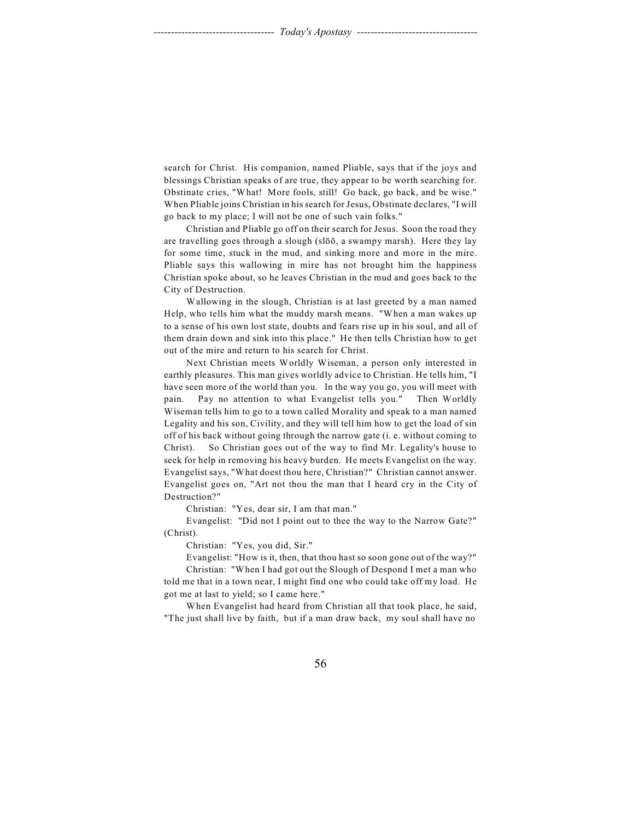search for Christ. His companion, named Pliable, says that if the joys and blessings Christian speaks of are true, they appear to be worth searching for. Obstinate cries, "What! More fools, still! Go back, go back, and be wise." When Pliable joins Christian in his search for Jesus, Obstinate declares, "I will go back to my place; I will not be one of such vain folks."

Christian and Pliable go off on their search for Jesus. Soon the road they are travelling goes through a slough (slôô, a swampy marsh). Here they lay for some time, stuck in the mud, and sinking more and more in the mire. Pliable says this wallowing in mire has not brought him the happiness Christian spoke about, so he leaves Christian in the mud and goes back to the City of Destruction.

Wallowing in the slough, Christian is at last greeted by a man named Help, who tells him what the muddy marsh means. "When a man wakes up to a sense of his own lost state, doubts and fears rise up in his soul, and all of them drain down and sink into this place." He then tells Christian how to get out of the mire and return to his search for Christ.

Next Christian meets Worldly Wiseman, a person only interested in earthly pleasures. This man gives worldly advice to Christian. He tells him, "I have seen more of the world than you. In the way you go, you will meet with pain. Pay no attention to what Evangelist tells you." Then Worldly Wiseman tells him to go to a town called Morality and speak to a man named Legality and his son, Civility, and they will tell him how to get the load of sin off of his back without going through the narrow gate (i. e. without coming to Christ). So Christian goes out of the way to find Mr. Legality's house to seek for help in removing his heavy burden. He meets Evangelist on the way. Evangelist says, "What doest thou here, Christian?" Christian cannot answer. Evangelist goes on, "Art not thou the man that I heard cry in the City of Destruction?"

Christian: "Yes, dear sir, I am that man."

Evangelist: "Did not I point out to thee the way to the Narrow Gate?" (Christ).

Christian: "Yes, you did, Sir."

Evangelist: "How is it, then, that thou hast so soon gone out of the way?"

Christian: "When I had got out the Slough of Despond I met a man who told me that in a town near, I might find one who could take off my load. He got me at last to yield; so I came here."

When Evangelist had heard from Christian all that took place, he said, "The just shall live by faith, but if a man draw back, my soul shall have no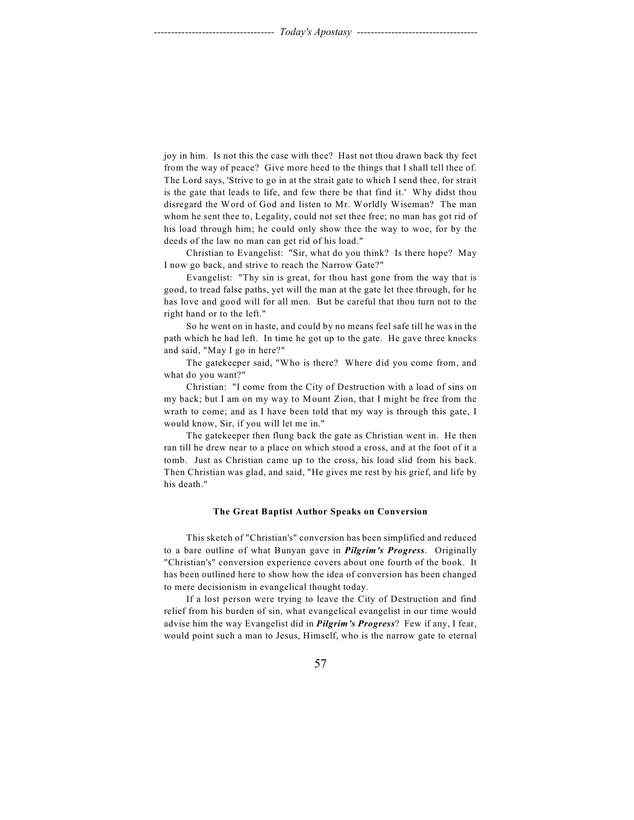joy in him. Is not this the case with thee? Hast not thou drawn back thy feet from the way of peace? Give more heed to the things that I shall tell thee of. The Lord says, 'Strive to go in at the strait gate to which I send thee, for strait is the gate that leads to life, and few there be that find it.' Why didst thou disregard the Word of God and listen to Mr. Worldly Wiseman? The man whom he sent thee to, Legality, could not set thee free; no man has got rid of his load through him; he could only show thee the way to woe, for by the deeds of the law no man can get rid of his load."

Christian to Evangelist: "Sir, what do you think? Is there hope? May I now go back, and strive to reach the Narrow Gate?"

Evangelist: "Thy sin is great, for thou hast gone from the way that is good, to tread false paths, yet will the man at the gate let thee through, for he has love and good will for all men. But be careful that thou turn not to the right hand or to the left."

So he went on in haste, and could by no means feel safe till he was in the path which he had left. In time he got up to the gate. He gave three knocks and said, "May I go in here?"

The gatekeeper said, "Who is there? Where did you come from, and what do you want?"

Christian: "I come from the City of Destruction with a load of sins on my back; but I am on my way to Mount Zion, that I might be free from the wrath to come; and as I have been told that my way is through this gate, I would know, Sir, if you will let me in."

The gatekeeper then flung back the gate as Christian went in. He then ran till he drew near to a place on which stood a cross, and at the foot of it a tomb. Just as Christian came up to the cross, his load slid from his back. Then Christian was glad, and said, "He gives me rest by his grief, and life by his death."

### **The Great Baptist Author Speaks on Conversion**

This sketch of "Christian's" conversion has been simplified and reduced to a bare outline of what Bunyan gave in *Pilgrim's Progress*. Originally "Christian's" conversion experience covers about one fourth of the book. It has been outlined here to show how the idea of conversion has been changed to mere decisionism in evangelical thought today.

If a lost person were trying to leave the City of Destruction and find relief from his burden of sin, what evangelical evangelist in our time would advise him the way Evangelist did in *Pilgrim's Progress*? Few if any, I fear, would point such a man to Jesus, Himself, who is the narrow gate to eternal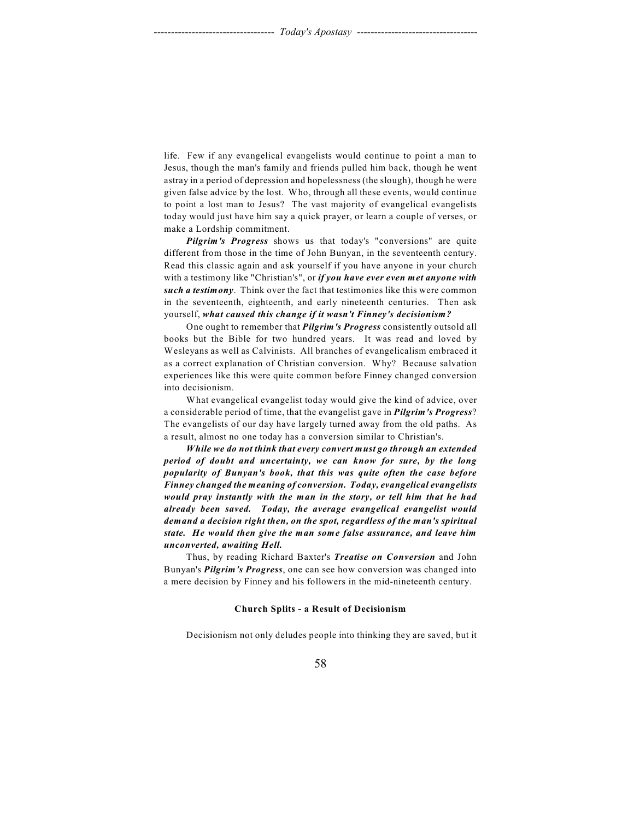life. Few if any evangelical evangelists would continue to point a man to Jesus, though the man's family and friends pulled him back, though he went astray in a period of depression and hopelessness (the slough), though he were given false advice by the lost. Who, through all these events, would continue to point a lost man to Jesus? The vast majority of evangelical evangelists today would just have him say a quick prayer, or learn a couple of verses, or make a Lordship commitment.

*Pilgrim's Progress* shows us that today's "conversions" are quite different from those in the time of John Bunyan, in the seventeenth century. Read this classic again and ask yourself if you have anyone in your church with a testimony like "Christian's", or *if you have ever even met anyone with such a testimony*. Think over the fact that testimonies like this were common in the seventeenth, eighteenth, and early nineteenth centuries. Then ask yourself, *what caused this change if it wasn't Finney's decisionism?*

One ought to remember that *Pilgrim's Progress* consistently outsold all books but the Bible for two hundred years. It was read and loved by Wesleyans as well as Calvinists. All branches of evangelicalism embraced it as a correct explanation of Christian conversion. Why? Because salvation experiences like this were quite common before Finney changed conversion into decisionism.

What evangelical evangelist today would give the kind of advice, over a considerable period of time, that the evangelist gave in *Pilgrim's Progress*? The evangelists of our day have largely turned away from the old paths. As a result, almost no one today has a conversion similar to Christian's.

*While we do not think that every convert must go through an extended period of doubt and uncertainty, we can know for sure, by the long popularity of Bunyan's book, that this was quite often the case before Finney changed the meaning of conversion. Today, evangelical evangelists would pray instantly with the man in the story, or tell him that he had already been saved. Today, the average evangelical evangelist would demand a decision right then, on the spot, regardless of the man's spiritual state. He would then give the man some false assurance, and leave him unconverted, awaiting Hell.*

Thus, by reading Richard Baxter's *Treatise on Conversion* and John Bunyan's *Pilgrim's Progress*, one can see how conversion was changed into a mere decision by Finney and his followers in the mid-nineteenth century.

### **Church Splits - a Result of Decisionism**

Decisionism not only deludes people into thinking they are saved, but it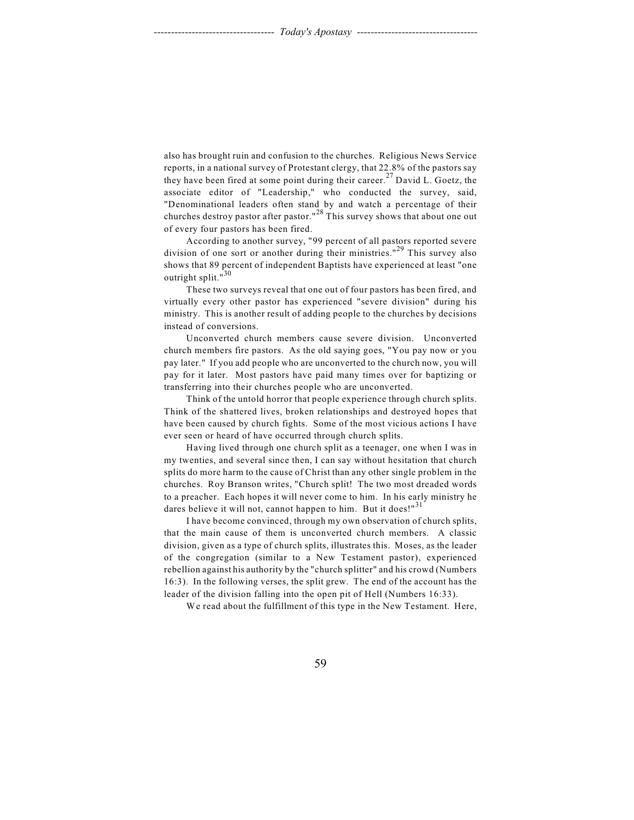also has brought ruin and confusion to the churches. Religious News Service reports, in a national survey of Protestant clergy, that 22.8% of the pastors say they have been fired at some point during their career.<sup>27</sup> David L. Goetz, the associate editor of "Leadership," who conducted the survey, said, "Denominational leaders often stand by and watch a percentage of their churches destroy pastor after pastor."<sup>28</sup> This survey shows that about one out of every four pastors has been fired.

According to another survey, "99 percent of all pastors reported severe division of one sort or another during their ministries."<sup>29</sup> This survey also shows that 89 percent of independent Baptists have experienced at least "one outright split."<sup>30</sup>

These two surveys reveal that one out of four pastors has been fired, and virtually every other pastor has experienced "severe division" during his ministry. This is another result of adding people to the churches by decisions instead of conversions.

Unconverted church members cause severe division. Unconverted church members fire pastors. As the old saying goes, "You pay now or you pay later." If you add people who are unconverted to the church now, you will pay for it later. Most pastors have paid many times over for baptizing or transferring into their churches people who are unconverted.

Think of the untold horror that people experience through church splits. Think of the shattered lives, broken relationships and destroyed hopes that have been caused by church fights. Some of the most vicious actions I have ever seen or heard of have occurred through church splits.

Having lived through one church split as a teenager, one when I was in my twenties, and several since then, I can say without hesitation that church splits do more harm to the cause of Christ than any other single problem in the churches. Roy Branson writes, "Church split! The two most dreaded words to a preacher. Each hopes it will never come to him. In his early ministry he dares believe it will not, cannot happen to him. But it does!"<sup>31</sup>

I have become convinced, through my own observation of church splits, that the main cause of them is unconverted church members. A classic division, given as a type of church splits, illustrates this. Moses, as the leader of the congregation (similar to a New Testament pastor), experienced rebellion against his authority by the "church splitter" and his crowd (Numbers 16:3). In the following verses, the split grew. The end of the account has the leader of the division falling into the open pit of Hell (Numbers 16:33).

We read about the fulfillment of this type in the New Testament. Here,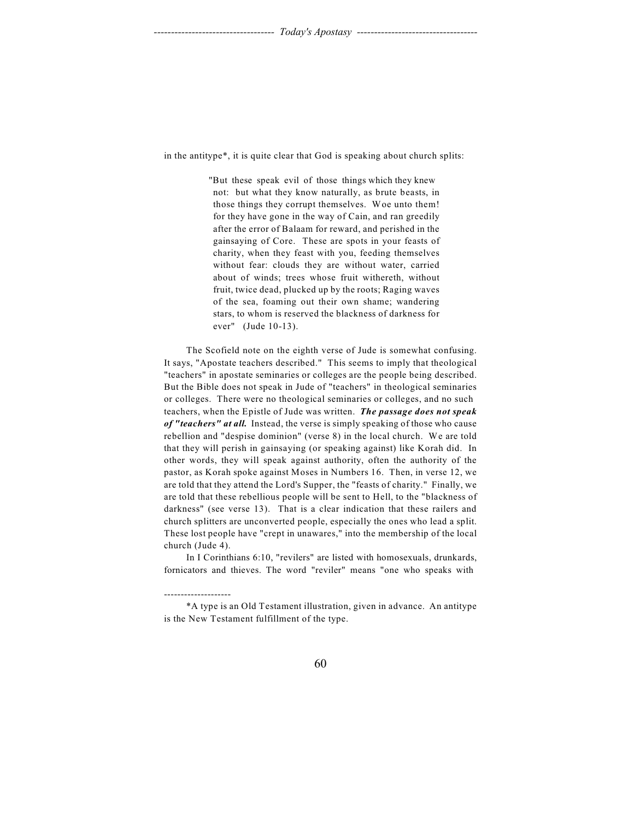in the antitype\*, it is quite clear that God is speaking about church splits:

"But these speak evil of those things which they knew not: but what they know naturally, as brute beasts, in those things they corrupt themselves. Woe unto them! for they have gone in the way of Cain, and ran greedily after the error of Balaam for reward, and perished in the gainsaying of Core. These are spots in your feasts of charity, when they feast with you, feeding themselves without fear: clouds they are without water, carried about of winds; trees whose fruit withereth, without fruit, twice dead, plucked up by the roots; Raging waves of the sea, foaming out their own shame; wandering stars, to whom is reserved the blackness of darkness for ever" (Jude 10-13).

The Scofield note on the eighth verse of Jude is somewhat confusing. It says, "Apostate teachers described." This seems to imply that theological "teachers" in apostate seminaries or colleges are the people being described. But the Bible does not speak in Jude of "teachers" in theological seminaries or colleges. There were no theological seminaries or colleges, and no such teachers, when the Epistle of Jude was written. *The passage does not speak of "teachers" at all.* Instead, the verse is simply speaking of those who cause rebellion and "despise dominion" (verse 8) in the local church. We are told that they will perish in gainsaying (or speaking against) like Korah did. In other words, they will speak against authority, often the authority of the pastor, as Korah spoke against Moses in Numbers 16. Then, in verse 12, we are told that they attend the Lord's Supper, the "feasts of charity." Finally, we are told that these rebellious people will be sent to Hell, to the "blackness of darkness" (see verse 13). That is a clear indication that these railers and church splitters are unconverted people, especially the ones who lead a split. These lost people have "crept in unawares," into the membership of the local church (Jude 4).

In I Corinthians 6:10, "revilers" are listed with homosexuals, drunkards, fornicators and thieves. The word "reviler" means "one who speaks with

--------------------

<sup>\*</sup>A type is an Old Testament illustration, given in advance. An antitype is the New Testament fulfillment of the type.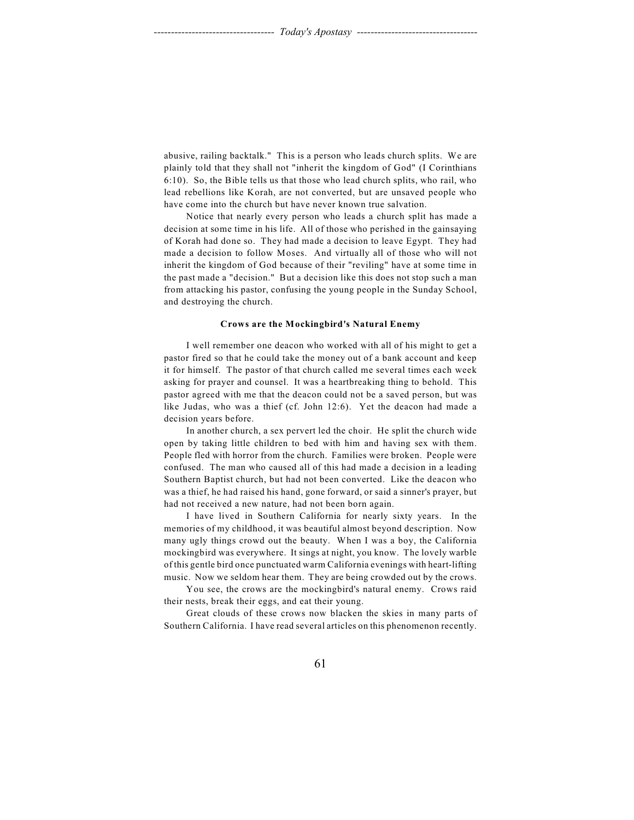abusive, railing backtalk." This is a person who leads church splits. We are plainly told that they shall not "inherit the kingdom of God" (I Corinthians 6:10). So, the Bible tells us that those who lead church splits, who rail, who lead rebellions like Korah, are not converted, but are unsaved people who have come into the church but have never known true salvation.

Notice that nearly every person who leads a church split has made a decision at some time in his life. All of those who perished in the gainsaying of Korah had done so. They had made a decision to leave Egypt. They had made a decision to follow Moses. And virtually all of those who will not inherit the kingdom of God because of their "reviling" have at some time in the past made a "decision." But a decision like this does not stop such a man from attacking his pastor, confusing the young people in the Sunday School, and destroying the church.

### **Crows are the Mockingbird's Natural Enemy**

I well remember one deacon who worked with all of his might to get a pastor fired so that he could take the money out of a bank account and keep it for himself. The pastor of that church called me several times each week asking for prayer and counsel. It was a heartbreaking thing to behold. This pastor agreed with me that the deacon could not be a saved person, but was like Judas, who was a thief (cf. John 12:6). Yet the deacon had made a decision years before.

In another church, a sex pervert led the choir. He split the church wide open by taking little children to bed with him and having sex with them. People fled with horror from the church. Families were broken. People were confused. The man who caused all of this had made a decision in a leading Southern Baptist church, but had not been converted. Like the deacon who was a thief, he had raised his hand, gone forward, or said a sinner's prayer, but had not received a new nature, had not been born again.

I have lived in Southern California for nearly sixty years. In the memories of my childhood, it was beautiful almost beyond description. Now many ugly things crowd out the beauty. When I was a boy, the California mockingbird was everywhere. It sings at night, you know. The lovely warble of this gentle bird once punctuated warm California evenings with heart-lifting music. Now we seldom hear them. They are being crowded out by the crows.

You see, the crows are the mockingbird's natural enemy. Crows raid their nests, break their eggs, and eat their young.

Great clouds of these crows now blacken the skies in many parts of Southern California. I have read several articles on this phenomenon recently.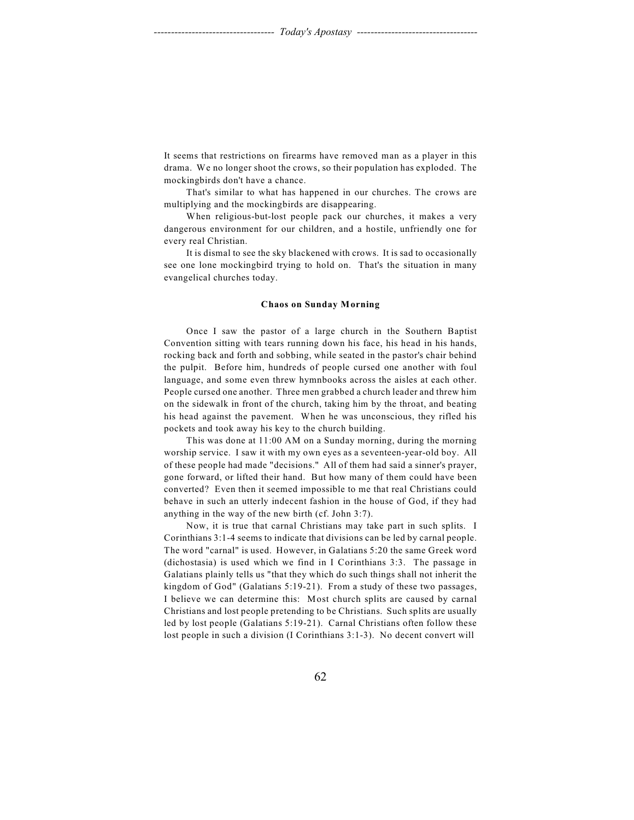It seems that restrictions on firearms have removed man as a player in this drama. We no longer shoot the crows, so their population has exploded. The mockingbirds don't have a chance.

That's similar to what has happened in our churches. The crows are multiplying and the mockingbirds are disappearing.

When religious-but-lost people pack our churches, it makes a very dangerous environment for our children, and a hostile, unfriendly one for every real Christian.

It is dismal to see the sky blackened with crows. It is sad to occasionally see one lone mockingbird trying to hold on. That's the situation in many evangelical churches today.

### **Chaos on Sunday Morning**

Once I saw the pastor of a large church in the Southern Baptist Convention sitting with tears running down his face, his head in his hands, rocking back and forth and sobbing, while seated in the pastor's chair behind the pulpit. Before him, hundreds of people cursed one another with foul language, and some even threw hymnbooks across the aisles at each other. People cursed one another. Three men grabbed a church leader and threw him on the sidewalk in front of the church, taking him by the throat, and beating his head against the pavement. When he was unconscious, they rifled his pockets and took away his key to the church building.

This was done at 11:00 AM on a Sunday morning, during the morning worship service. I saw it with my own eyes as a seventeen-year-old boy. All of these people had made "decisions." All of them had said a sinner's prayer, gone forward, or lifted their hand. But how many of them could have been converted? Even then it seemed impossible to me that real Christians could behave in such an utterly indecent fashion in the house of God, if they had anything in the way of the new birth (cf. John 3:7).

Now, it is true that carnal Christians may take part in such splits. I Corinthians 3:1-4 seems to indicate that divisions can be led by carnal people. The word "carnal" is used. However, in Galatians 5:20 the same Greek word (dichostasia) is used which we find in I Corinthians 3:3. The passage in Galatians plainly tells us "that they which do such things shall not inherit the kingdom of God" (Galatians 5:19-21). From a study of these two passages, I believe we can determine this: Most church splits are caused by carnal Christians and lost people pretending to be Christians. Such splits are usually led by lost people (Galatians 5:19-21). Carnal Christians often follow these lost people in such a division (I Corinthians 3:1-3). No decent convert will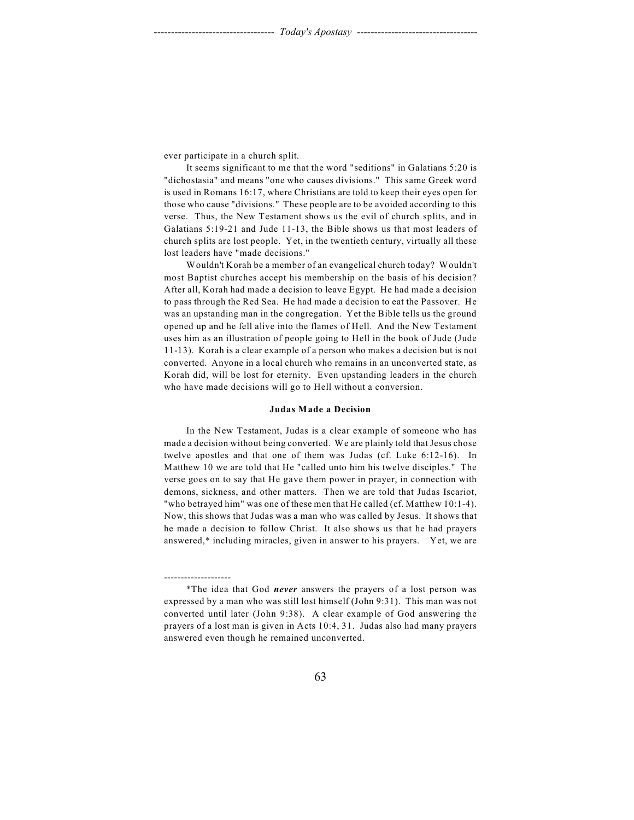ever participate in a church split.

--------------------

It seems significant to me that the word "seditions" in Galatians 5:20 is "dichostasia" and means "one who causes divisions." This same Greek word is used in Romans 16:17, where Christians are told to keep their eyes open for those who cause "divisions." These people are to be avoided according to this verse. Thus, the New Testament shows us the evil of church splits, and in Galatians 5:19-21 and Jude 11-13, the Bible shows us that most leaders of church splits are lost people. Yet, in the twentieth century, virtually all these lost leaders have "made decisions."

Wouldn't Korah be a member of an evangelical church today? Wouldn't most Baptist churches accept his membership on the basis of his decision? After all, Korah had made a decision to leave Egypt. He had made a decision to pass through the Red Sea. He had made a decision to eat the Passover. He was an upstanding man in the congregation. Yet the Bible tells us the ground opened up and he fell alive into the flames of Hell. And the New Testament uses him as an illustration of people going to Hell in the book of Jude (Jude 11-13). Korah is a clear example of a person who makes a decision but is not converted. Anyone in a local church who remains in an unconverted state, as Korah did, will be lost for eternity. Even upstanding leaders in the church who have made decisions will go to Hell without a conversion.

### **Judas Made a Decision**

In the New Testament, Judas is a clear example of someone who has made a decision without being converted. We are plainly told that Jesus chose twelve apostles and that one of them was Judas (cf. Luke 6:12-16). In Matthew 10 we are told that He "called unto him his twelve disciples." The verse goes on to say that He gave them power in prayer, in connection with demons, sickness, and other matters. Then we are told that Judas Iscariot, "who betrayed him" was one of these men that He called (cf. Matthew 10:1-4). Now, this shows that Judas was a man who was called by Jesus. It shows that he made a decision to follow Christ. It also shows us that he had prayers answered,\* including miracles, given in answer to his prayers. Yet, we are

<sup>\*</sup>The idea that God *never* answers the prayers of a lost person was expressed by a man who was still lost himself (John 9:31). This man was not converted until later (John 9:38). A clear example of God answering the prayers of a lost man is given in Acts 10:4, 31. Judas also had many prayers answered even though he remained unconverted.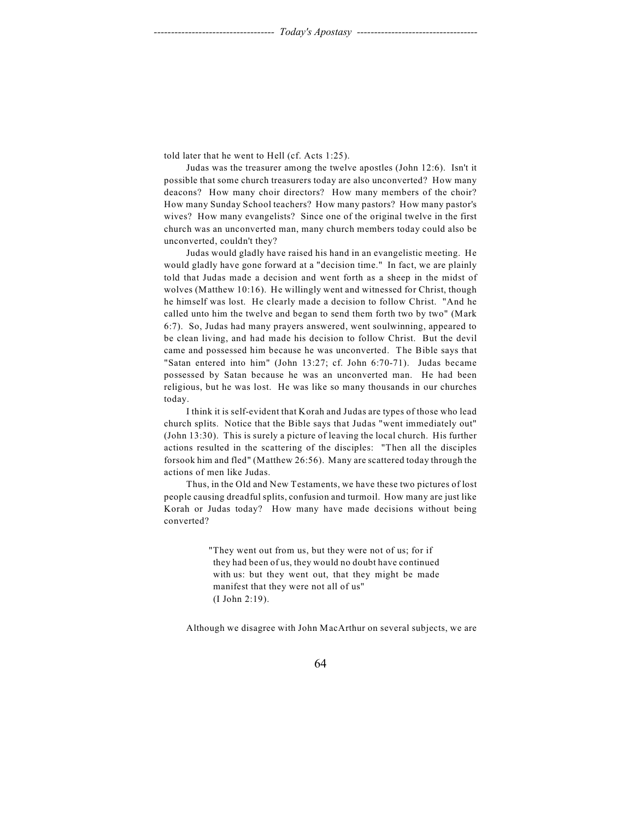told later that he went to Hell (cf. Acts 1:25).

Judas was the treasurer among the twelve apostles (John 12:6). Isn't it possible that some church treasurers today are also unconverted? How many deacons? How many choir directors? How many members of the choir? How many Sunday School teachers? How many pastors? How many pastor's wives? How many evangelists? Since one of the original twelve in the first church was an unconverted man, many church members today could also be unconverted, couldn't they?

Judas would gladly have raised his hand in an evangelistic meeting. He would gladly have gone forward at a "decision time." In fact, we are plainly told that Judas made a decision and went forth as a sheep in the midst of wolves (Matthew 10:16). He willingly went and witnessed for Christ, though he himself was lost. He clearly made a decision to follow Christ. "And he called unto him the twelve and began to send them forth two by two" (Mark 6:7). So, Judas had many prayers answered, went soulwinning, appeared to be clean living, and had made his decision to follow Christ. But the devil came and possessed him because he was unconverted. The Bible says that "Satan entered into him" (John 13:27; cf. John 6:70-71). Judas became possessed by Satan because he was an unconverted man. He had been religious, but he was lost. He was like so many thousands in our churches today.

I think it is self-evident that Korah and Judas are types of those who lead church splits. Notice that the Bible says that Judas "went immediately out" (John 13:30). This is surely a picture of leaving the local church. His further actions resulted in the scattering of the disciples: "Then all the disciples forsook him and fled" (Matthew 26:56). Many are scattered today through the actions of men like Judas.

Thus, in the Old and New Testaments, we have these two pictures of lost people causing dreadful splits, confusion and turmoil. How many are just like Korah or Judas today? How many have made decisions without being converted?

> "They went out from us, but they were not of us; for if they had been of us, they would no doubt have continued with us: but they went out, that they might be made manifest that they were not all of us" (I John 2:19).

Although we disagree with John MacArthur on several subjects, we are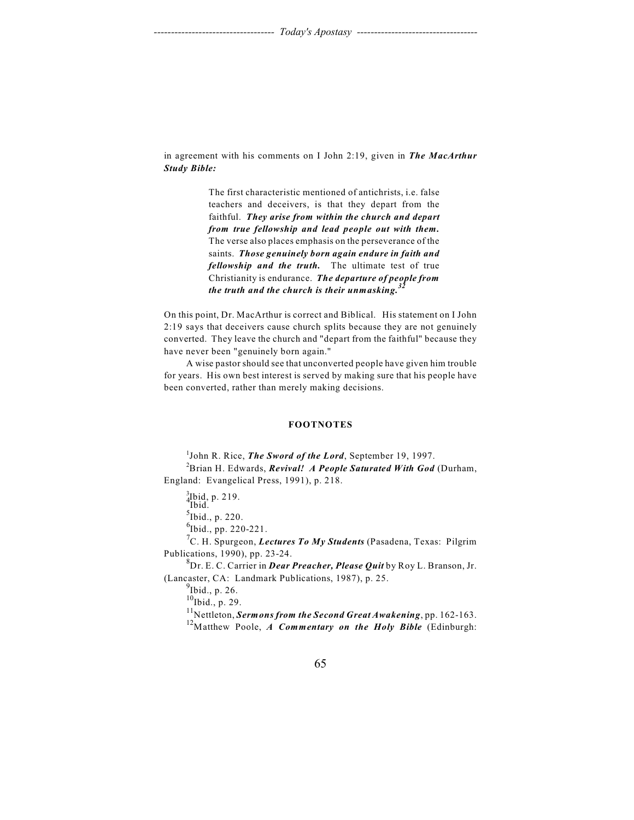in agreement with his comments on I John 2:19, given in *The MacArthur Study Bible:* 

> The first characteristic mentioned of antichrists, i.e. false teachers and deceivers, is that they depart from the faithful. *They arise from within the church and depart from true fellowship and lead people out with them.* The verse also places emphasis on the perseverance of the saints. *Those genuinely born again endure in faith and fellowship and the truth.* The ultimate test of true Christianity is endurance. *The departure of people from the truth and the church is their unmasking. 32*

On this point, Dr. MacArthur is correct and Biblical. His statement on I John 2:19 says that deceivers cause church splits because they are not genuinely converted. They leave the church and "depart from the faithful" because they have never been "genuinely born again."

A wise pastor should see that unconverted people have given him trouble for years. His own best interest is served by making sure that his people have been converted, rather than merely making decisions.

### **FOOTNOTES**

<sup>1</sup>John R. Rice, *The Sword of the Lord*, September 19, 1997. Brian H. Edwards, *Revival! A People Saturated With God* (Durham, <sup>2</sup> England: Evangelical Press, 1991), p. 218.

<sup>3</sup>Ibid, p. 219.<br>Ibid.

 $<sup>5</sup>$ Ibid., p. 220.</sup>

 $^{6}$ Ibid., pp. 220-221.

<sup>7</sup>C. H. Spurgeon, *Lectures To My Students* (Pasadena, Texas: Pilgrim Publications, 1990), pp. 23-24.

Dr. E. C. Carrier in *Dear Preacher, Please Quit* by Roy L. Branson, Jr. <sup>8</sup> (Lancaster, CA: Landmark Publications, 1987), p. 25.

 $<sup>9</sup>$ Ibid., p. 26.</sup>

 $^{10}$ Ibid., p. 29.

<sup>11</sup>Nettleton, *Sermons from the Second Great Awakening*, pp. 162-163.

<sup>12</sup>Matthew Poole, *A Commentary on the Holy Bible* (Edinburgh: